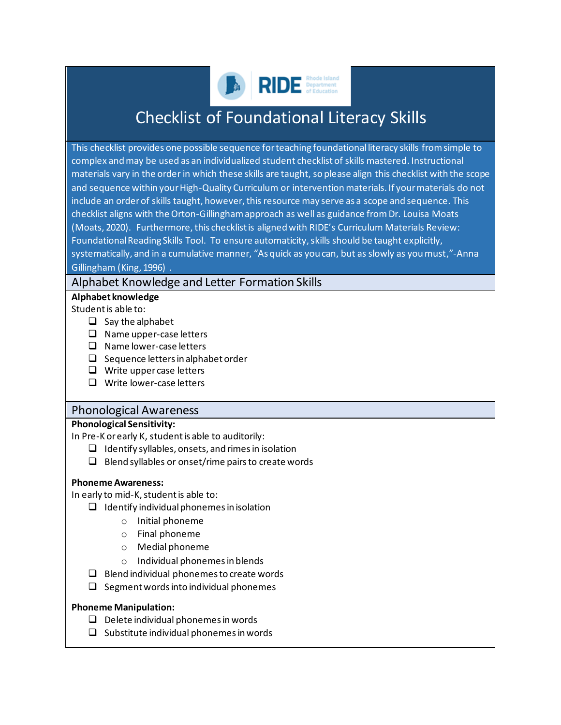

# Checklist of Foundational Literacy Skills

This checklist provides one possible sequence for teaching foundational literacy skills from simple to complex and may be used as an individualized student checklist of skills mastered. Instructional materials vary in the order in which these skills are taught, so please align this checklist with the scope and sequence within your High-Quality Curriculum or interventionmaterials. If your materials do not include an order of skills taught, however, this resource may serve as a scope and sequence. This checklist aligns with the Orton-Gillingham approach as well as guidance from Dr. Louisa Moats (Moats, 2020). Furthermore, this checklist is aligned with RIDE's Curriculum Materials Review: Foundational Reading Skills Tool. To ensure automaticity, skills should be taught explicitly, systematically, and in a cumulative manner, "As quick as you can, but as slowly as you must,"-Anna Gillingham (King, 1996) .

### Alphabet Knowledge and Letter Formation Skills

#### **Alphabet knowledge**

Student is able to:

- $\Box$  Say the alphabet
- ❑ Name upper-case letters
- ❑ Name lower-case letters
- ❑ Sequence lettersin alphabet order
- ❑ Write upper case letters
- ❑ Write lower-case letters

#### Phonological Awareness

#### **Phonological Sensitivity:**

In Pre-K or early K, student is able to auditorily:

- $\Box$  Identify syllables, onsets, and rimes in isolation
- $\Box$  Blend syllables or onset/rime pairs to create words

#### **Phoneme Awareness:**

In early to mid-K, student is able to:

- ❑ Identify individualphonemes in isolation
	- o Initial phoneme
	- o Final phoneme
	- o Medial phoneme
	- o Individual phonemes in blends
- ❑ Blend individual phonemes to create words
- $\Box$  Segment words into individual phonemes

#### **Phoneme Manipulation:**

- ❑ Delete individual phonemes in words
- ❑ Substitute individual phonemes in words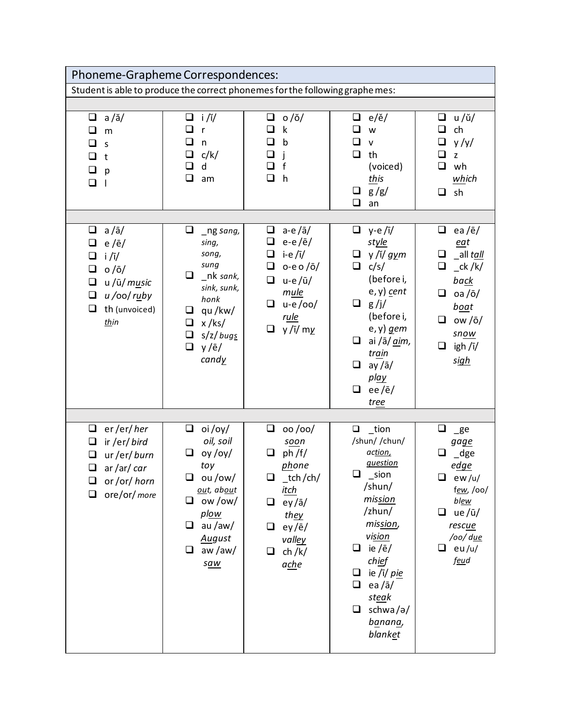| Phoneme-Grapheme Correspondences:                                                                                                                                         |                                                                                                                                                                    |                                                                                                                                                                                                                      |                                                                                                                                                                                                                                                                             |                                                                                                                                                                                             |
|---------------------------------------------------------------------------------------------------------------------------------------------------------------------------|--------------------------------------------------------------------------------------------------------------------------------------------------------------------|----------------------------------------------------------------------------------------------------------------------------------------------------------------------------------------------------------------------|-----------------------------------------------------------------------------------------------------------------------------------------------------------------------------------------------------------------------------------------------------------------------------|---------------------------------------------------------------------------------------------------------------------------------------------------------------------------------------------|
| Student is able to produce the correct phonemes for the following graphe mes:                                                                                             |                                                                                                                                                                    |                                                                                                                                                                                                                      |                                                                                                                                                                                                                                                                             |                                                                                                                                                                                             |
|                                                                                                                                                                           |                                                                                                                                                                    |                                                                                                                                                                                                                      |                                                                                                                                                                                                                                                                             |                                                                                                                                                                                             |
| $a/\check{a}/$<br>$\Box$<br>❏<br>m<br>□<br>S<br>$\Box$<br>t<br>$\Box$<br>p<br>$\Box$<br>I                                                                                 | $\Box$ i/ǐ/<br>◻<br>$\mathsf{r}$<br>❏<br>n<br>c/k/<br>□<br>□<br>d<br>$\Box$<br>am                                                                                  | o/ö/<br>❏<br>$\mathsf k$<br>◻<br>$\mathsf{b}$<br>❏<br>f<br>$\Box$<br>h                                                                                                                                               | $\Box$<br>$e/\check{e}/$<br>❏<br>W<br>❏<br>$\mathsf{v}$<br>$\Box$<br>th<br>(voiced)<br>this<br>$\Box$<br>g/g/<br>$\Box$<br>an                                                                                                                                               | $\Box$ u/ŭ/<br>❏<br>ch<br>$\Box$<br>y/y/<br>ப<br>z<br>wh<br>❏<br>which<br>$\Box$ sh                                                                                                         |
| $a/\bar{a}/$<br>$\Box$<br>$e/\bar{e}/$<br>❏<br>$i / \overline{i}$<br>⊔<br>$o/\bar{o}/$<br>❏<br>u /ū/ music<br>$\Box$<br>u/oo/ruby<br>$\Box$<br>th (unvoiced)<br>❏<br>thin | ⊔<br>_ng sang,<br>sing,<br>song,<br>sung<br>0<br>_nk sank,<br>sink, sunk,<br>honk<br>qu/kw/<br>❏<br>$x$ /ks/<br>❏<br>$\Box$<br>s/z/bugs<br>$\Box$<br>y/ē/<br>candy | a-e/ $\bar{a}$ /<br>❏<br>❏<br>$e-e/\bar{e}/$<br>i-e/ī/<br>$\Box$<br>$\Box$<br>$o$ -e o / $\bar{o}$ /<br>$\Box$<br>$u-e/\bar{u}/$<br>mule<br>$u-e/oo/$<br>□<br><u>rule</u><br>$y / \overline{i} / \text{m}$<br>$\Box$ | $y-e/\overline{i}/$<br>$\Box$<br>style<br>у /ĭ/ g <u>y</u> m<br>$\Box$<br>$\Box$<br>c/s/<br>(before i,<br>$e, y)$ cent<br>$\Box$ g/j/<br>(before i,<br>$e, y)$ gem<br>ai /ā/ aim,<br>❏<br>tr <u>ai</u> n<br>$\Box$<br>$ay/\bar{a}/$<br>play<br>❏<br>ee/ $\bar{e}$ /<br>tree | ea/ $\bar{e}$ /<br>❏<br>eat<br>$\Box$<br>_all tall<br>❏<br>ck / k/<br><b>back</b><br>$\Box$ oa /ō/<br><u>boat</u><br>ow /ō/<br>0<br>snow<br>$\Box$<br>igh /ī/<br><u>sigh</u>                |
|                                                                                                                                                                           |                                                                                                                                                                    |                                                                                                                                                                                                                      |                                                                                                                                                                                                                                                                             |                                                                                                                                                                                             |
| $\Box$<br>er/er/her<br>ir /er/ bird<br>$\Box$<br>ur/er/burn<br>$\Box$<br>ar / ar / car<br>or/or/horn<br>⊔<br>ore/or/ more<br>⊔                                            | oi/oy/<br>❏<br>oil, soil<br>oy /oy/<br>toy<br>ou/ow/<br>⊔<br>out, about<br>ow/ow/<br>❏<br>plow<br>au/aw/<br>❏<br><b>August</b><br>aw/aw/<br>$\Box$<br>saw          | 00/00/<br>❏<br>soon<br>ph / f/<br>phone<br>_tch/ch/<br><u>itch</u><br>$ey/\bar{a}/$<br>❏<br>they<br>ey/ē/<br>⊔<br>valley<br>ch / k/<br>❏<br>ache                                                                     | $\_$ tion<br>$\Box$<br>/shun/ /chun/<br>action,<br>question<br>$\Box$<br>$\_$ sion<br>/shun/<br>mission<br>/zhun/<br>mission,<br>vision<br>ie /ē/<br>❏<br>chief<br>ie /ī/ pie<br>$\Box$<br>$\Box$<br>ea/ $\bar{a}$ /<br>steak<br>$\Box$<br>schwa/ə/<br>banana,<br>blanket   | ⊔<br>$_{\text{g}}$ e<br>gage<br>ப<br>$\_\text{dge}$<br>edge<br>$\Box$<br>ew/u/<br>few, /00/<br><u>blew</u><br>$ue/\bar{u}/$<br>❏<br>rescue<br>/oo/ d <u>ue</u><br>❏<br>eu/u/<br><u>feud</u> |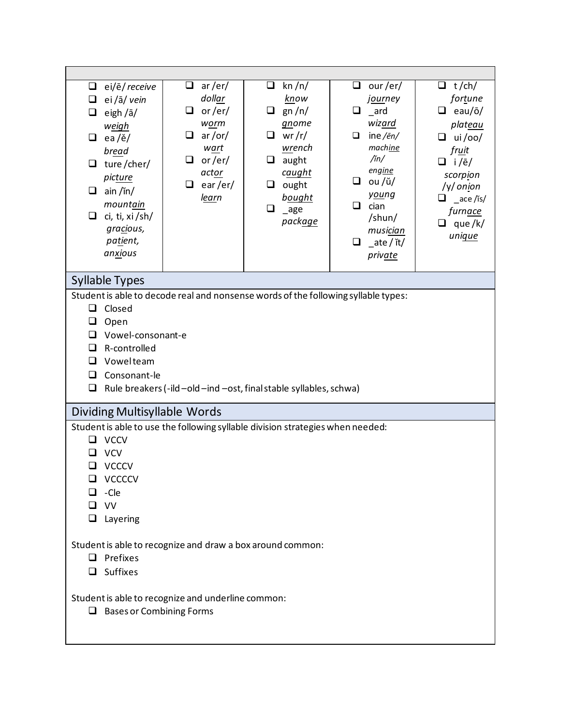| $\Box$ ei/ē/ receive<br>ei /ā/ vein<br>□<br>eigh /ā/<br>❏<br>weigh<br>$\Box$ ea/ě/<br>bread<br>$\Box$ ture/cher/<br>picture<br>$\Box$ ain /in/<br>mountain<br>$\Box$ ci, ti, xi/sh/<br>gracious,<br>patient,<br>anxious | $\Box$<br>ar/er/<br>dollar<br>or/er/<br>❏<br>worm<br>ar/or/<br>$\Box$<br>wart<br>or/er/<br>□<br>actor<br>ear/er/<br>□<br>learn | kn/n/<br>□<br>know<br>gn/n/<br>❏<br>gnome<br>$\Box$<br>wr/r/<br>wrench<br>aught<br>u.<br>c <u>aught</u><br>ought<br>❏<br>bought<br>❏<br>$\mathsf{age}$<br>pack <u>age</u> | $\Box$<br>our /er/<br><i>journey</i><br>$\Box$<br>$\overline{\phantom{a}}$ ard<br>wizard<br>ine/ $\bar{e}n/$<br>$\Box$<br>machine<br>$\lim/$<br>engine<br>$\Box$ ou /ŭ/<br>young<br>❏<br>cian<br>/shun/<br>musician<br>_ate / ĭt/<br>$\Box$<br><i>private</i> | $\Box$ t/ch/<br>fortune<br>$\Box$ eau/ō/<br>plateau<br>$\Box$ ui/oo/<br>fruit<br>$\Box$ i/e/<br>scorpion<br>/y/ onion<br>_ace /is/<br>furn <u>ace</u><br>que/k/<br>❏<br>unique |  |
|-------------------------------------------------------------------------------------------------------------------------------------------------------------------------------------------------------------------------|--------------------------------------------------------------------------------------------------------------------------------|---------------------------------------------------------------------------------------------------------------------------------------------------------------------------|---------------------------------------------------------------------------------------------------------------------------------------------------------------------------------------------------------------------------------------------------------------|--------------------------------------------------------------------------------------------------------------------------------------------------------------------------------|--|
| <b>Syllable Types</b>                                                                                                                                                                                                   |                                                                                                                                |                                                                                                                                                                           |                                                                                                                                                                                                                                                               |                                                                                                                                                                                |  |
| Student is able to decode real and nonsense words of the following syllable types:<br>Closed<br>❏<br>Open<br>⊔<br>Vowel-consonant-e<br>ப<br>R-controlled<br>ப<br>Vowelteam<br>□<br>Consonant-le<br>□<br>□               |                                                                                                                                | Rule breakers (-ild -old -ind -ost, final stable syllables, schwa)                                                                                                        |                                                                                                                                                                                                                                                               |                                                                                                                                                                                |  |
| Dividing Multisyllable Words                                                                                                                                                                                            |                                                                                                                                |                                                                                                                                                                           |                                                                                                                                                                                                                                                               |                                                                                                                                                                                |  |
| Student is able to use the following syllable division strategies when needed:<br><b>VCCV</b><br>ப<br><b>VCV</b><br><b>VCCCV</b><br>VCCCCV<br>-Cle<br>ப<br>$\Box$ vv<br>$\Box$ Layering                                 |                                                                                                                                |                                                                                                                                                                           |                                                                                                                                                                                                                                                               |                                                                                                                                                                                |  |
| Student is able to recognize and draw a box around common:<br>$\Box$ Prefixes<br>$\Box$ Suffixes                                                                                                                        |                                                                                                                                |                                                                                                                                                                           |                                                                                                                                                                                                                                                               |                                                                                                                                                                                |  |
| Student is able to recognize and underline common:<br><b>Bases or Combining Forms</b><br>⊔                                                                                                                              |                                                                                                                                |                                                                                                                                                                           |                                                                                                                                                                                                                                                               |                                                                                                                                                                                |  |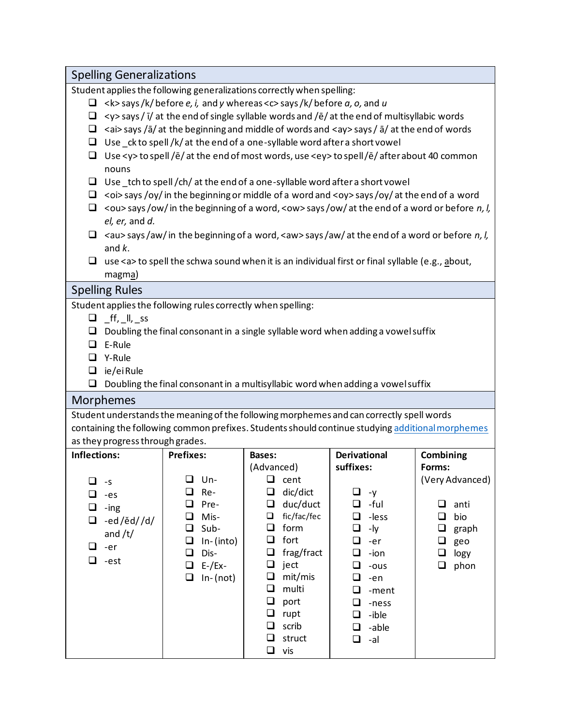| <b>Spelling Generalizations</b>                                                                       |                     |                                                                                                                 |                          |                 |
|-------------------------------------------------------------------------------------------------------|---------------------|-----------------------------------------------------------------------------------------------------------------|--------------------------|-----------------|
| Student applies the following generalizations correctly when spelling:                                |                     |                                                                                                                 |                          |                 |
|                                                                                                       |                     | $\Box$ <k>says/k/before e, i, and y whereas <c>says/k/before a, o, and u</c></k>                                |                          |                 |
| ❏                                                                                                     |                     | $\langle y \rangle$ says / ī/ at the end of single syllable words and /ē/ at the end of multisyllabic words     |                          |                 |
|                                                                                                       |                     | $\Box$ <ai> says /ā/ at the beginning and middle of words and <ay> says / ā/ at the end of words</ay></ai>      |                          |                 |
|                                                                                                       |                     | $\Box$ Use _ck to spell /k/ at the end of a one-syllable word after a short vowel                               |                          |                 |
| □                                                                                                     |                     | Use <y> to spell /ē/ at the end of most words, use <ey> to spell /ē/ after about 40 common</ey></y>             |                          |                 |
| nouns                                                                                                 |                     |                                                                                                                 |                          |                 |
|                                                                                                       |                     | $\Box$ Use _tch to spell /ch/ at the end of a one-syllable word after a short vowel                             |                          |                 |
|                                                                                                       |                     | $\Box$ < oi> says /oy/ in the beginning or middle of a word and < oy> says /oy/ at the end of a word            |                          |                 |
|                                                                                                       |                     | $\Box$ < ou > says / ow/ in the beginning of a word, < ow > says / ow/ at the end of a word or before n, l,     |                          |                 |
| el, er, and d.                                                                                        |                     |                                                                                                                 |                          |                 |
|                                                                                                       |                     | $\alpha$ <au> says/aw/ in the beginning of a word, <aw> says/aw/ at the end of a word or before n, l,</aw></au> |                          |                 |
| and $k$ .                                                                                             |                     |                                                                                                                 |                          |                 |
| ❏                                                                                                     |                     | use <a> to spell the schwa sound when it is an individual first or final syllable (e.g., about,</a>             |                          |                 |
| magma)                                                                                                |                     |                                                                                                                 |                          |                 |
| <b>Spelling Rules</b>                                                                                 |                     |                                                                                                                 |                          |                 |
| Student applies the following rules correctly when spelling:                                          |                     |                                                                                                                 |                          |                 |
| $\Box$ ff, $\parallel$ , ss                                                                           |                     |                                                                                                                 |                          |                 |
|                                                                                                       |                     | Doubling the final consonant in a single syllable word when adding a vowel suffix                               |                          |                 |
| $\Box$ E-Rule                                                                                         |                     |                                                                                                                 |                          |                 |
| □ Y-Rule                                                                                              |                     |                                                                                                                 |                          |                 |
| $\Box$ ie/eiRule                                                                                      |                     |                                                                                                                 |                          |                 |
| Doubling the final consonant in a multisyllabic word when adding a vowel suffix<br>❏                  |                     |                                                                                                                 |                          |                 |
| Morphemes<br>Student understands the meaning of the following morphemes and can correctly spell words |                     |                                                                                                                 |                          |                 |
| containing the following common prefixes. Students should continue studying additional morphemes      |                     |                                                                                                                 |                          |                 |
| as they progress through grades.                                                                      |                     |                                                                                                                 |                          |                 |
| <b>Inflections:</b>                                                                                   | <b>Prefixes:</b>    | <b>Bases:</b>                                                                                                   | <b>Derivational</b>      | Combining       |
|                                                                                                       |                     | (Advanced)                                                                                                      | suffixes:                | Forms:          |
| ⊔<br>$-5$                                                                                             | $\Box$<br>Un-       | $\Box$<br>cent                                                                                                  |                          | (Very Advanced) |
| ❏<br>-es                                                                                              | ❏<br>Re-            | dic/dict<br>❏                                                                                                   | □<br>-y                  |                 |
| ❏<br>-ing                                                                                             | ❏<br>Pre-           | duc/duct<br>❏                                                                                                   | -ful<br>❏                | ❏<br>anti       |
| ❏<br>-ed/ěd//d/                                                                                       | Mis-<br>❏           | fic/fac/fec<br>$\Box$                                                                                           | ❏<br>-less               | ❏<br>bio        |
| and $/t/$                                                                                             | Sub-<br>❏           | $\Box$<br>form                                                                                                  | -ly<br>❏                 | ❏<br>graph      |
| $\Box$<br>-er                                                                                         | In-(into)<br>❏      | □<br>fort                                                                                                       | □<br>-er                 | ❏<br>geo        |
| $\Box$<br>-est                                                                                        | Dis-<br>❏           | $\Box$<br>frag/fract                                                                                            | ❏<br>-ion                | $\Box$<br>logy  |
|                                                                                                       | $E$ -/Ex-<br>$\Box$ | $\Box$<br>ject                                                                                                  | ❏<br>-ous                | $\Box$<br>phon  |
|                                                                                                       | $In-(not)$<br>❏     | $\Box$<br>mit/mis                                                                                               | ❏<br>-en                 |                 |
|                                                                                                       |                     | multi<br>$\Box$                                                                                                 | □<br>-ment               |                 |
|                                                                                                       |                     | $\Box$<br>port<br>❏                                                                                             | ❏<br>-ness               |                 |
|                                                                                                       |                     | rupt<br>$\Box$<br>scrib                                                                                         | -ible<br>❏<br>-able<br>ப |                 |
|                                                                                                       |                     | ❏<br>struct                                                                                                     | ❏<br>-al                 |                 |
|                                                                                                       |                     | $\Box$<br>vis                                                                                                   |                          |                 |
|                                                                                                       |                     |                                                                                                                 |                          |                 |